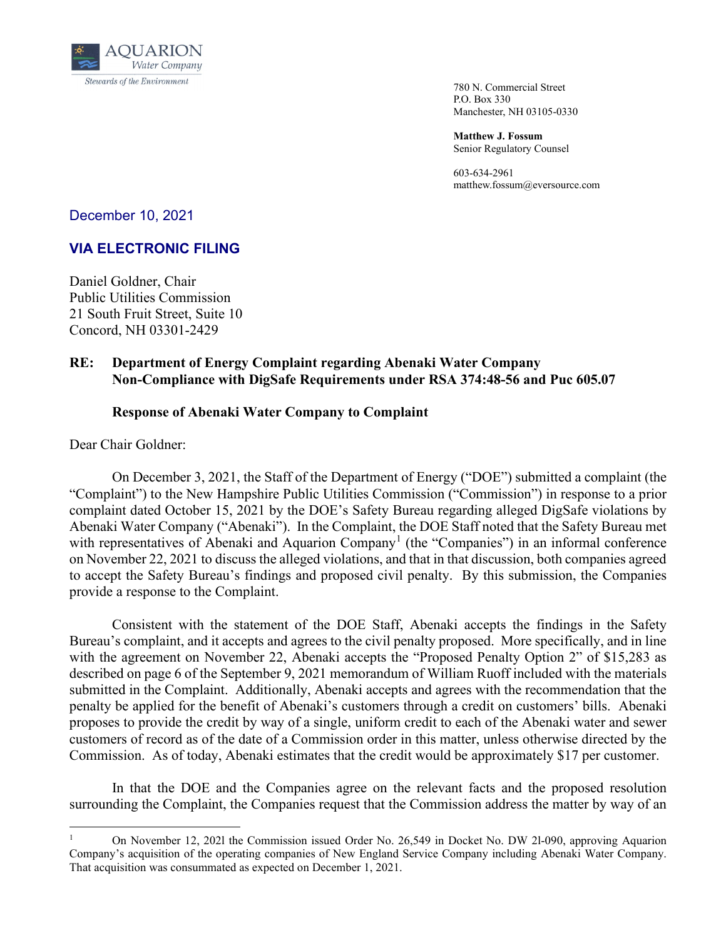

 780 N. Commercial Street P.O. Box 330 Manchester, NH 03105-0330

**Matthew J. Fossum** Senior Regulatory Counsel

603-634-2961 matthew.fossum@eversource.com

December 10, 2021

## **VIA ELECTRONIC FILING**

Daniel Goldner, Chair Public Utilities Commission 21 South Fruit Street, Suite 10 Concord, NH 03301-2429

## **RE: Department of Energy Complaint regarding Abenaki Water Company Non-Compliance with DigSafe Requirements under RSA 374:48-56 and Puc 605.07**

## **Response of Abenaki Water Company to Complaint**

Dear Chair Goldner:

On December 3, 2021, the Staff of the Department of Energy ("DOE") submitted a complaint (the "Complaint") to the New Hampshire Public Utilities Commission ("Commission") in response to a prior complaint dated October 15, 2021 by the DOE's Safety Bureau regarding alleged DigSafe violations by Abenaki Water Company ("Abenaki"). In the Complaint, the DOE Staff noted that the Safety Bureau met with representatives of Abenaki and Aquarion Company<sup>[1](#page-0-0)</sup> (the "Companies") in an informal conference on November 22, 2021 to discuss the alleged violations, and that in that discussion, both companies agreed to accept the Safety Bureau's findings and proposed civil penalty. By this submission, the Companies provide a response to the Complaint.

Consistent with the statement of the DOE Staff, Abenaki accepts the findings in the Safety Bureau's complaint, and it accepts and agrees to the civil penalty proposed. More specifically, and in line with the agreement on November 22, Abenaki accepts the "Proposed Penalty Option 2" of \$15,283 as described on page 6 of the September 9, 2021 memorandum of William Ruoff included with the materials submitted in the Complaint. Additionally, Abenaki accepts and agrees with the recommendation that the penalty be applied for the benefit of Abenaki's customers through a credit on customers' bills. Abenaki proposes to provide the credit by way of a single, uniform credit to each of the Abenaki water and sewer customers of record as of the date of a Commission order in this matter, unless otherwise directed by the Commission. As of today, Abenaki estimates that the credit would be approximately \$17 per customer.

In that the DOE and the Companies agree on the relevant facts and the proposed resolution surrounding the Complaint, the Companies request that the Commission address the matter by way of an

<span id="page-0-0"></span><sup>1</sup> On November 12, 202l the Commission issued Order No. 26,549 in Docket No. DW 2l-090, approving Aquarion Company's acquisition of the operating companies of New England Service Company including Abenaki Water Company. That acquisition was consummated as expected on December 1, 2021.